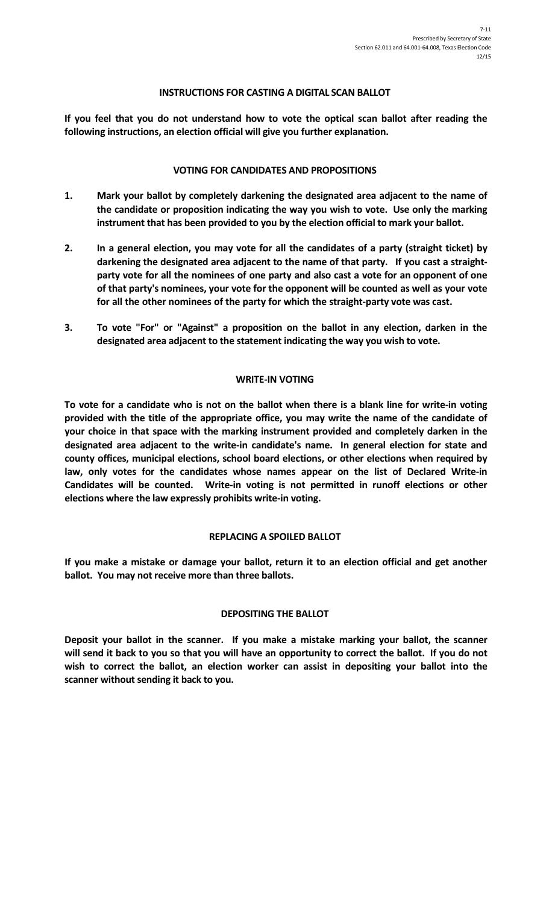### **INSTRUCTIONS FOR CASTING A DIGITAL SCAN BALLOT**

**If you feel that you do not understand how to vote the optical scan ballot after reading the following instructions, an election official will give you further explanation.**

### **VOTING FOR CANDIDATES AND PROPOSITIONS**

- **1. Mark your ballot by completely darkening the designated area adjacent to the name of the candidate or proposition indicating the way you wish to vote. Use only the marking instrument that has been provided to you by the election official to mark your ballot.**
- **2. In a general election, you may vote for all the candidates of a party (straight ticket) by darkening the designated area adjacent to the name of that party. If you cast a straightparty vote for all the nominees of one party and also cast a vote for an opponent of one of that party's nominees, your vote for the opponent will be counted as well as your vote for all the other nominees of the party for which the straight-party vote was cast.**
- **3. To vote "For" or "Against" a proposition on the ballot in any election, darken in the designated area adjacent to the statement indicating the way you wish to vote.**

## **WRITE-IN VOTING**

**To vote for a candidate who is not on the ballot when there is a blank line for write-in voting provided with the title of the appropriate office, you may write the name of the candidate of your choice in that space with the marking instrument provided and completely darken in the designated area adjacent to the write-in candidate's name. In general election for state and county offices, municipal elections, school board elections, or other elections when required by law, only votes for the candidates whose names appear on the list of Declared Write-in Candidates will be counted. Write-in voting is not permitted in runoff elections or other elections where the law expressly prohibits write-in voting.**

### **REPLACING A SPOILED BALLOT**

**If you make a mistake or damage your ballot, return it to an election official and get another ballot. You may not receive more than three ballots.**

### **DEPOSITING THE BALLOT**

**Deposit your ballot in the scanner. If you make a mistake marking your ballot, the scanner will send it back to you so that you will have an opportunity to correct the ballot. If you do not wish to correct the ballot, an election worker can assist in depositing your ballot into the scanner without sending it back to you.**